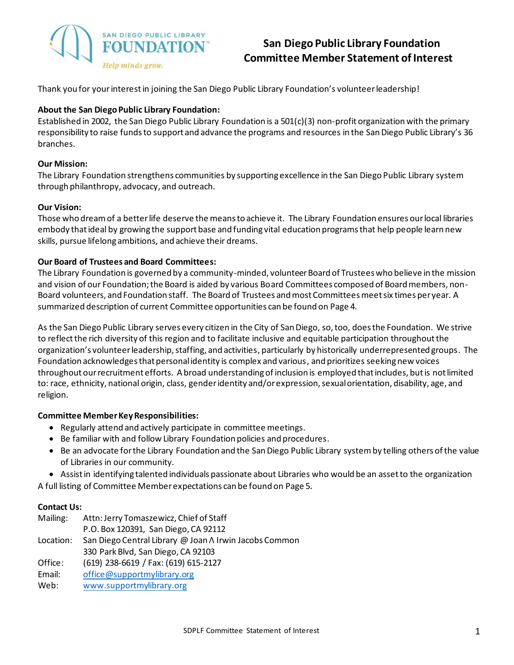

# **San Diego Public Library Foundation Committee Member Statement of Interest**

Thank you for yourinterest in joining the San Diego Public Library Foundation's volunteer leadership!

#### **About the San Diego Public Library Foundation:**

Established in 2002, the San Diego Public Library Foundation is a 501(c)(3) non-profit organization with the primary responsibility to raise funds to support and advance the programs and resources in the San Diego Public Library's 36 branches.

#### **Our Mission:**

The Library Foundation strengthens communities by supporting excellence in the San Diego Public Library system through philanthropy, advocacy, and outreach.

### **Our Vision:**

Those who dream of a better life deserve the means to achieve it. The Library Foundation ensures our local libraries embody that ideal by growing the support base and funding vital education programs that help people learn new skills, pursue lifelong ambitions, and achieve their dreams.

### **Our Board of Trustees and Board Committees:**

The Library Foundation is governed by a community-minded, volunteer Board of Trustees who believe in the mission and vision of our Foundation; the Board is aided by various Board Committees composed of Board members, non-Board volunteers, and Foundation staff. The Board of Trustees and most Committees meet six times per year. A summarized description of current Committee opportunities can be found on Page 4.

As the San Diego Public Library serves every citizen in the City of San Diego, so, too, does the Foundation. We strive to reflect the rich diversity of this region and to facilitate inclusive and equitable participation throughout the organization's volunteer leadership, staffing, and activities, particularly by historically underrepresented groups. The Foundation acknowledges that personal identity is complex and various, and prioritizes seeking new voices throughout our recruitment efforts. A broad understanding of inclusion is employed that includes, but is not limited to: race, ethnicity, national origin, class, gender identity and/or expression, sexual orientation, disability, age, and religion.

#### **Committee MemberKey Responsibilities:**

- Regularly attend and actively participate in committee meetings.
- Be familiar with and follow Library Foundation policies and procedures.
- Be an advocate for the Library Foundation and the San Diego Public Library system by telling others of the value of Libraries in our community.

• Assist in identifying talented individuals passionate about Libraries who would be an asset to the organization

A full listing of Committee Member expectations can be found on Page 5.

#### **Contact Us:**

Mailing: Attn: Jerry Tomaszewicz, Chief of Staff P.O. Box 120391, San Diego, CA 92112 Location: San Diego Central Library @ Joan Λ Irwin Jacobs Common 330 Park Blvd, San Diego, CA 92103 Office: (619) 238-6619 / Fax: (619) 615-2127 Email: [office@supportmylibrary.org](mailto:office@supportmylibrary.org)

Web: [www.supportmylibrary.org](http://www.supportmylibrary.org/)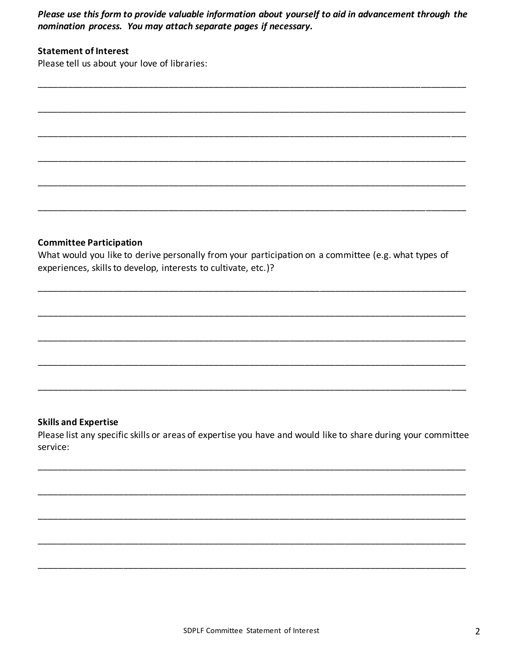Please use this form to provide valuable information about yourself to aid in advancement through the nomination process. You may attach separate pages if necessary.

# **Statement of Interest**

Please tell us about your love of libraries:

# **Committee Participation**

What would you like to derive personally from your participation on a committee (e.g. what types of experiences, skills to develop, interests to cultivate, etc.)?

# **Skills and Expertise**

Please list any specific skills or areas of expertise you have and would like to share during your committee service: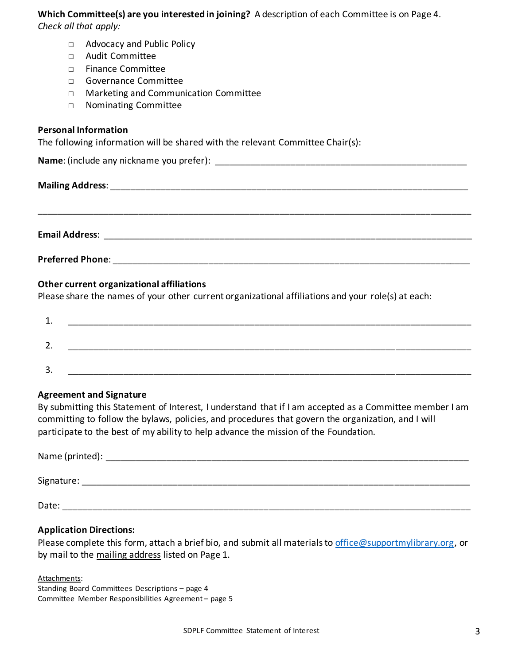# **Which Committee(s) are you interested in joining?** A description of each Committee is on Page 4.

*Check all that apply:*

- □ Advocacy and Public Policy
- □ Audit Committee
- □ Finance Committee
- □ Governance Committee
- □ Marketing and Communication Committee
- □ Nominating Committee

# **Personal Information**

The following information will be shared with the relevant Committee Chair(s):

| Name: (include any nickname you prefer): |  |
|------------------------------------------|--|
| <b>Mailing Address:</b>                  |  |

**Email Address**: \_\_\_\_\_\_\_\_\_\_\_\_\_\_\_\_\_\_\_\_\_\_\_\_\_\_\_\_\_\_\_\_\_\_\_\_\_\_\_\_\_\_\_\_\_\_\_\_\_\_\_\_\_\_\_\_\_\_\_\_\_\_\_\_\_\_\_\_\_\_\_\_\_

\_\_\_\_\_\_\_\_\_\_\_\_\_\_\_\_\_\_\_\_\_\_\_\_\_\_\_\_\_\_\_\_\_\_\_\_\_\_\_\_\_\_\_\_\_\_\_\_\_\_\_\_\_\_\_\_\_\_\_\_\_\_\_\_\_\_\_\_\_\_\_\_\_\_\_\_\_\_\_\_\_\_\_\_\_\_

# **Other current organizational affiliations**

Please share the names of your other current organizational affiliations and your role(s) at each:

| ∽        |  |
|----------|--|
|          |  |
| 2<br>. ب |  |

# **Agreement and Signature**

By submitting this Statement of Interest, I understand that if I am accepted as a Committee member I am committing to follow the bylaws, policies, and procedures that govern the organization, and I will participate to the best of my ability to help advance the mission of the Foundation.

| Name (printed): |  |  |
|-----------------|--|--|
| Signature:      |  |  |
| Date:           |  |  |

# **Application Directions:**

Please complete this form, attach a brief bio, and submit all materials to [office@supportmylibrary.org,](mailto:office@supportmylibrary.org) or by mail to the mailing address listed on Page 1.

Attachments:

Standing Board Committees Descriptions – page 4 Committee Member Responsibilities Agreement – page 5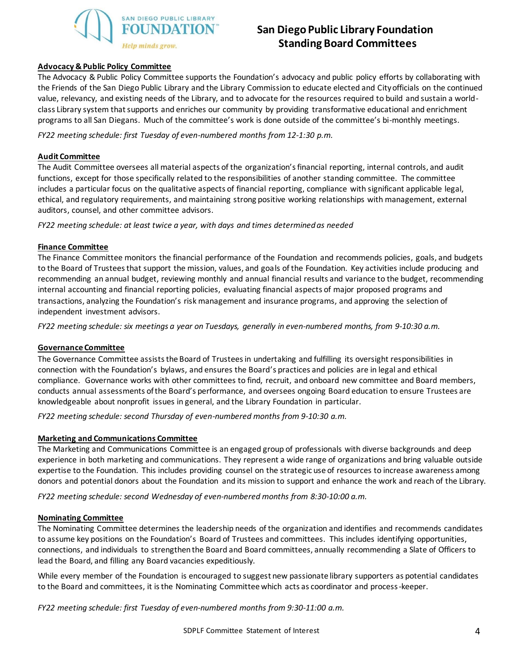

# **San Diego Public Library Foundation Standing Board Committees**

#### **Advocacy & Public Policy Committee**

The Advocacy & Public Policy Committee supports the Foundation's advocacy and public policy efforts by collaborating with the Friends of the San Diego Public Library and the Library Commission to educate elected and City officials on the continued value, relevancy, and existing needs of the Library, and to advocate for the resources required to build and sustain a worldclass Library system that supports and enriches our community by providing transformative educational and enrichment programs to all San Diegans. Much of the committee's work is done outside of the committee's bi-monthly meetings.

*FY22 meeting schedule: first Tuesday of even-numbered months from 12-1:30 p.m.* 

#### **Audit Committee**

The Audit Committee oversees all material aspects of the organization's financial reporting, internal controls, and audit functions, except for those specifically related to the responsibilities of another standing committee. The committee includes a particular focus on the qualitative aspects of financial reporting, compliance with significant applicable legal, ethical, and regulatory requirements, and maintaining strong positive working relationships with management, external auditors, counsel, and other committee advisors.

*FY22 meeting schedule: at least twice a year, with days and times determined as needed*

#### **Finance Committee**

The Finance Committee monitors the financial performance of the Foundation and recommends policies, goals, and budgets to the Board of Trustees that support the mission, values, and goals of the Foundation. Key activities include producing and recommending an annual budget, reviewing monthly and annual financial results and variance to the budget, recommending internal accounting and financial reporting policies, evaluating financial aspects of major proposed programs and transactions, analyzing the Foundation's risk management and insurance programs, and approving the selection of independent investment advisors.

*FY22 meeting schedule: six meetings a year on Tuesdays, generally in even-numbered months, from 9-10:30 a.m.*

#### **Governance Committee**

The Governance Committee assists the Board of Trustees in undertaking and fulfilling its oversight responsibilities in connection with the Foundation's bylaws, and ensures the Board's practices and policies are in legal and ethical compliance. Governance works with other committees to find, recruit, and onboard new committee and Board members, conducts annual assessments of the Board's performance, and oversees ongoing Board education to ensure Trustees are knowledgeable about nonprofit issues in general, and the Library Foundation in particular.

*FY22 meeting schedule: second Thursday of even-numbered months from 9-10:30 a.m.*

#### **Marketing and Communications Committee**

The Marketing and Communications Committee is an engaged group of professionals with diverse backgrounds and deep experience in both marketing and communications. They represent a wide range of organizations and bring valuable outside expertise to the Foundation. This includes providing counsel on the strategic use of resources to increase awareness among donors and potential donors about the Foundation and its mission to support and enhance the work and reach of the Library.

*FY22 meeting schedule: second Wednesday of even-numbered months from 8:30-10:00 a.m.*

#### **Nominating Committee**

The Nominating Committee determines the leadership needs of the organization and identifies and recommends candidates to assume key positions on the Foundation's Board of Trustees and committees. This includes identifying opportunities, connections, and individuals to strengthen the Board and Board committees, annually recommending a Slate of Officers to lead the Board, and filling any Board vacancies expeditiously.

While every member of the Foundation is encouraged to suggest new passionate library supporters as potential candidates to the Board and committees, it is the Nominating Committee which acts as coordinator and process-keeper.

*FY22 meeting schedule: first Tuesday of even-numbered months from 9:30-11:00 a.m.*